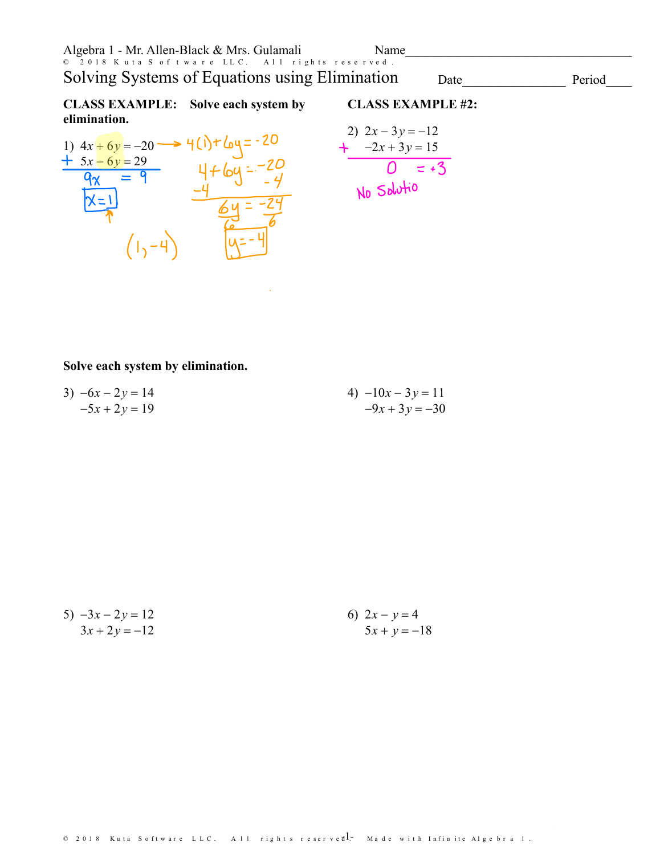| Algebra 1 - Mr. Allen-Black & Mrs. Gulamali                                                                                       |                      | Name                                    |  |  |
|-----------------------------------------------------------------------------------------------------------------------------------|----------------------|-----------------------------------------|--|--|
| © 2018 Kuta S of tware LLC. All rights reserved.<br>Solving Systems of Equations using Elimination<br>Period<br>Date              |                      |                                         |  |  |
| <b>CLASS EXAMPLE:</b><br>elimination.                                                                                             | Solve each system by | <b>CLASS EXAMPLE #2:</b>                |  |  |
|                                                                                                                                   |                      | 2) $2x - 3y = -12$<br>+ $-2x + 3y = 15$ |  |  |
| 1) $4x + 6y = -20 \longrightarrow 4(\sqrt{6}) + 6y = -20$<br>$\frac{+ 5x - 6y = 29}{9x = 9}$<br>$4 + 6y = -20$<br>$\sqrt{9x} = 9$ |                      |                                         |  |  |
|                                                                                                                                   |                      | No Salutio                              |  |  |
|                                                                                                                                   |                      |                                         |  |  |
|                                                                                                                                   |                      |                                         |  |  |

## **Solve each system by elimination.**

| 3) $-6x - 2y = 14$ | 4) $-10x - 3y = 11$ |
|--------------------|---------------------|
| $-5x + 2y = 19$    | $-9x + 3y = -30$    |

 $\sim 100$ 

| 5) $-3x - 2y = 12$ | 6) $2x - y = 4$ |
|--------------------|-----------------|
| $3x + 2y = -12$    | $5x + y = -18$  |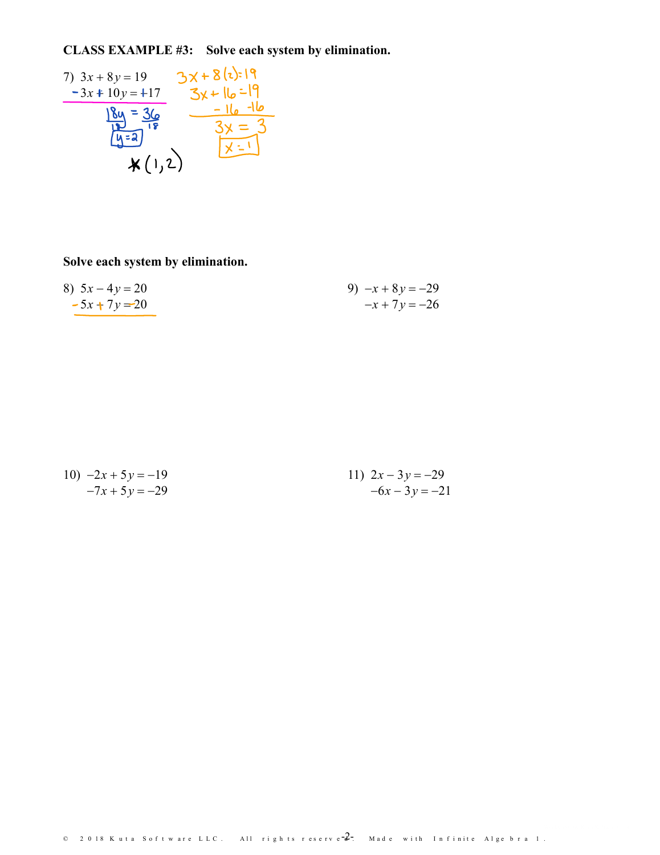CLASS EXAMPLE #3: Solve each system by elimination.

7) 
$$
3x + 8y = 19
$$
  
\n $-3x + 10y = +17$   
\n $8y = 36$   
\n $18y = 36$   
\n $3x = 3$   
\n $4(1, 2)$   
\n $3y = 3$ 

Solve each system by elimination.

| 8) $5x - 4y = 20$ | 9) $-x+8y=-29$  |
|-------------------|-----------------|
| $-5x + 7y = 20$   | $-x + 7y = -26$ |

| 10) $-2x + 5y = -19$ | 11) $2x-3y=-29$  |
|----------------------|------------------|
| $-7x + 5y = -29$     | $-6x - 3y = -21$ |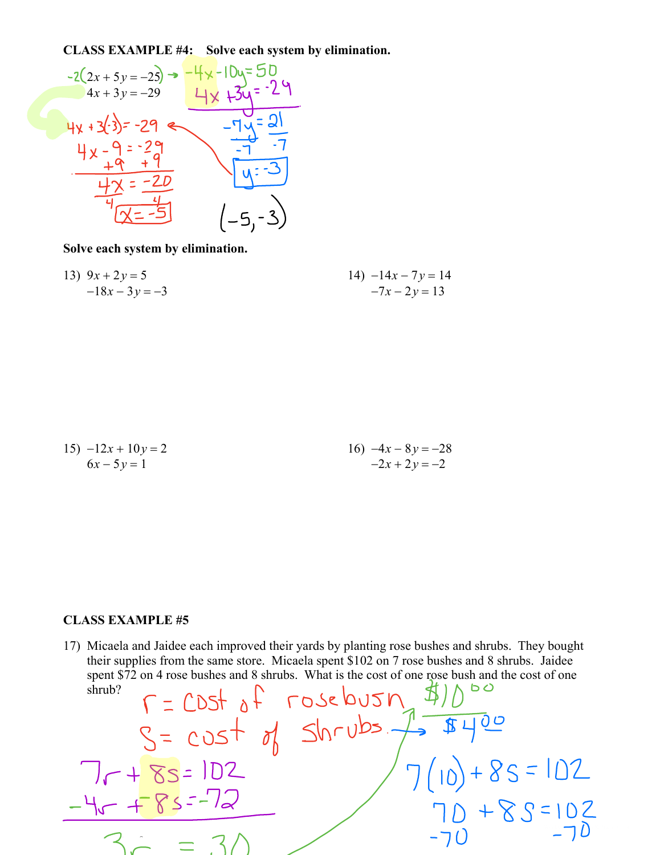**CLASS EXAMPLE #4: Solve each system by elimination.**



**Solve each system by elimination.**

13) 
$$
9x + 2y = 5
$$
  
-18x - 3y = -3  
 $-7x - 2y = 13$ 

15) 
$$
-12x + 10y = 2
$$
  
\n $6x - 5y = 1$   
\n16)  $-4x - 8y = -28$   
\n $-2x + 2y = -2$ 

## **CLASS EXAMPLE #5**

 $\sqrt{ }$ 

17) Micaela and Jaidee each improved their yards by planting rose bushes and shrubs. They bought their supplies from the same store. Micaela spent \$102 on 7 rose bushes and 8 shrubs. Jaidee spent \$72 on 4 rose bushes and 8 shrubs. What is the cost of one rose bush and the cost of one shrub?<br>  $\int \frac{1}{2} \int \frac{1}{2} \int \frac{1}{2} \int \frac{1}{2} \int \frac{1}{2} \int \frac{1}{2} \int \frac{1}{2} \int \frac{1}{2} \int \frac{1}{2} \int \frac{1}{2} \int \frac{1}{2} \int \frac{1}{2} \int \frac{1}{2}$ shrub?

$$
S = cost of SNrubs.\frac{1}{10}.\frac{\sqrt{100}}{10} = 102
$$
  
\n
$$
-\frac{4}{10}.\frac{102}{10} = 3/1
$$
  
\n
$$
3.2 = 3/1
$$
  
\n
$$
3.3 = 3/1
$$
  
\n
$$
-70
$$
  
\n
$$
-70
$$
  
\n
$$
-70
$$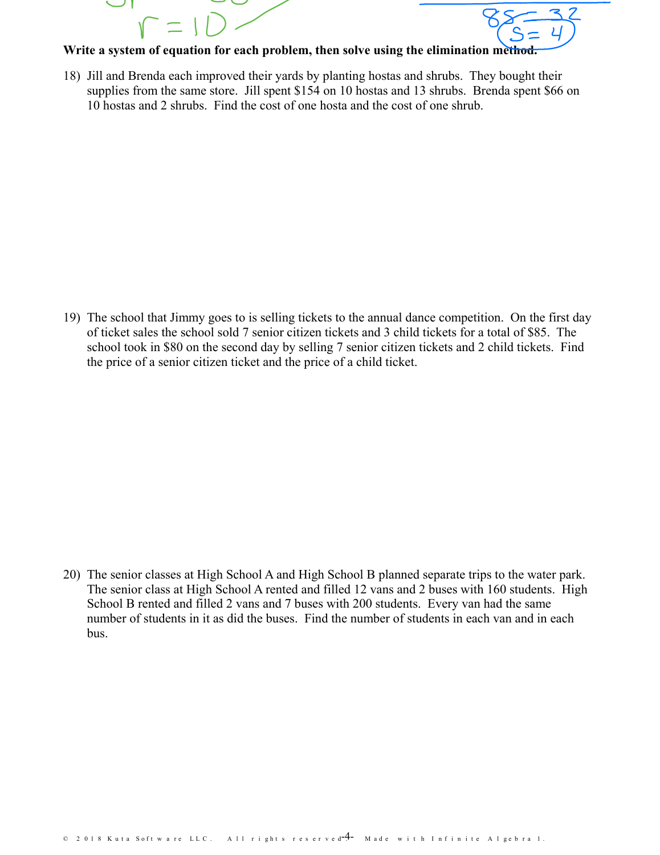



## **Write a system of equation for each problem, then solve using the elimination method.**

18) Jill and Brenda each improved their yards by planting hostas and shrubs. They bought their supplies from the same store. Jill spent \$154 on 10 hostas and 13 shrubs. Brenda spent \$66 on 10 hostas and 2 shrubs. Find the cost of one hosta and the cost of one shrub.

19) The school that Jimmy goes to is selling tickets to the annual dance competition. On the first day of ticket sales the school sold 7 senior citizen tickets and 3 child tickets for a total of \$85. The school took in \$80 on the second day by selling 7 senior citizen tickets and 2 child tickets. Find the price of a senior citizen ticket and the price of a child ticket.

20) The senior classes at High School A and High School B planned separate trips to the water park. The senior class at High School A rented and filled 12 vans and 2 buses with 160 students. High School B rented and filled 2 vans and 7 buses with 200 students. Every van had the same number of students in it as did the buses. Find the number of students in each van and in each bus.